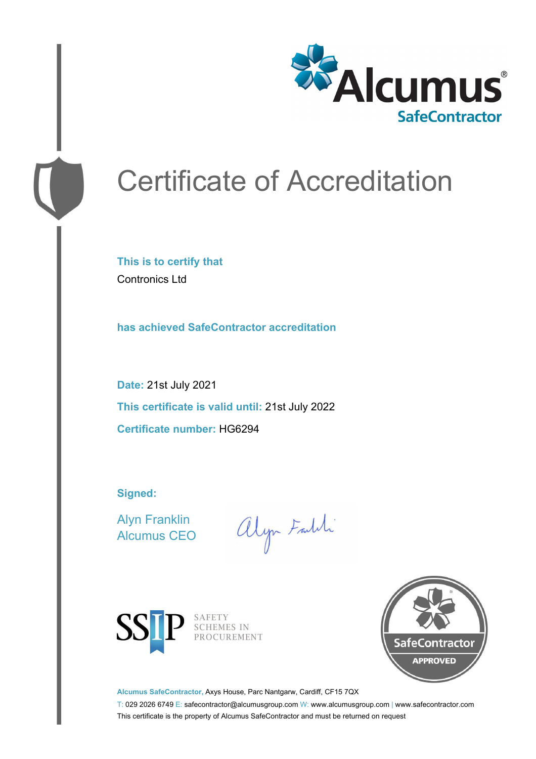

# Certificate of Accreditation

**This is to certify that** Contronics Ltd

**has achieved SafeContractor accreditation**

**Date:** 21st July 2021 **This certificate is valid until:** 21st July 2022 **Certificate number:** HG6294

**Signed:**

Alyn Franklin Alcumus CEO

alyn Faith



SAFETY<br>SCHEMES IN PROCUREMENT



**Alcumus SafeContractor,** Axys House, Parc Nantgarw, Cardiff, CF15 7QX

T: 029 2026 6749 E: safecontractor@alcumusgroup.com W: www.alcumusgroup.com | www.safecontractor.com This certificate is the property of Alcumus SafeContractor and must be returned on request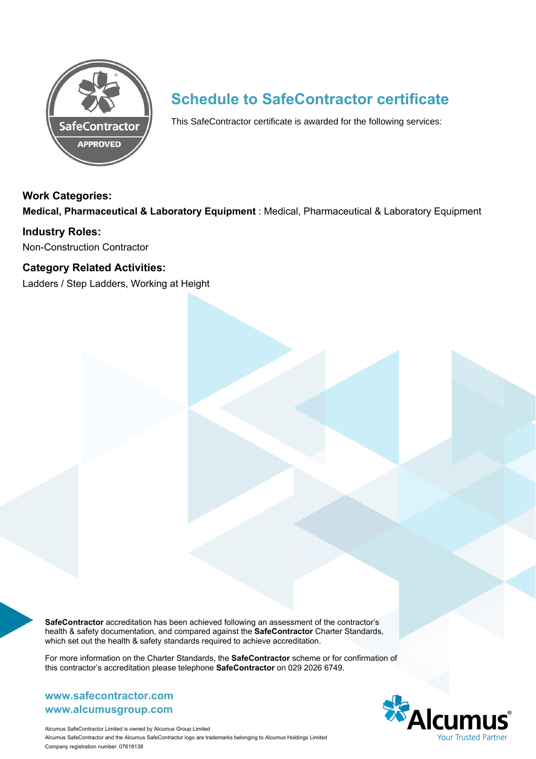

### **Schedule to SafeContractor certificate**

This SafeContractor certificate is awarded for the following services:

#### **Work Categories:**

**Medical, Pharmaceutical & Laboratory Equipment** : Medical, Pharmaceutical & Laboratory Equipment

### **Industry Roles:**

Non-Construction Contractor

### **Category Related Activities:**

Ladders / Step Ladders, Working at Height

**SafeContractor** accreditation has been achieved following an assessment of the contractor's health & safety documentation, and compared against the **SafeContractor** Charter Standards, which set out the health & safety standards required to achieve accreditation.

For more information on the Charter Standards, the **SafeContractor** scheme or for confirmation of this contractor's accreditation please telephone **SafeContractor** on 029 2026 6749.

### **www.alcumusgroup.com www.safecontractor.com**



Alcumus SafeContractor Limited is owned by Alcumus Group Limited Alcumus SafeContractor and the Alcumus SafeContractor logo are trademarks belonging to Alcumus Holdings Limited Company registration number: 07618138